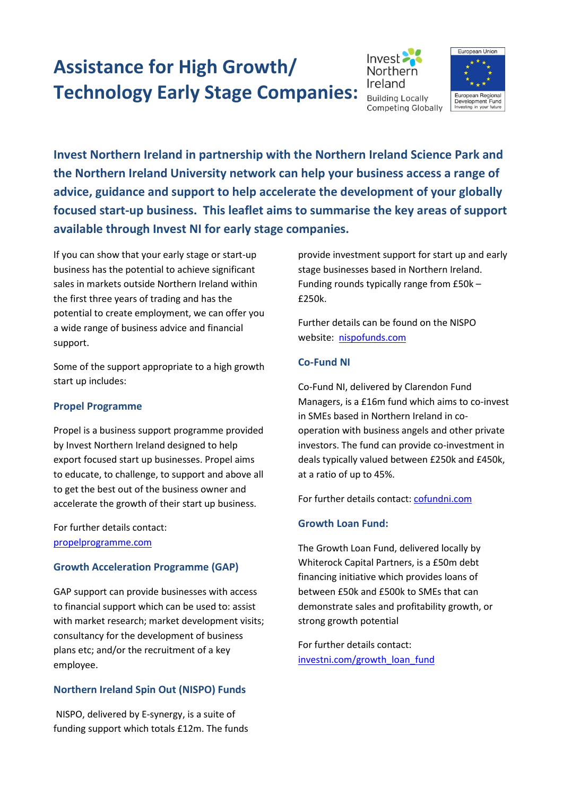# **[Assistance for High Growth/](http://www.investni.com/index/starting/index/starting/starting_a_high_growth.htm)  [Technology Early Stage Companies:](http://www.investni.com/index/starting/index/starting/starting_a_high_growth.htm)**





**Invest Northern Ireland in partnership with the Northern Ireland Science Park and the Northern Ireland University network can help your business access a range of advice, guidance and support to help accelerate the development of your globally focused start-up business. This leaflet aims to summarise the key areas of support available through Invest NI for early stage companies.** 

If you can show that your early stage or start-up business has the potential to achieve significant sales in markets outside Northern Ireland within the first three years of trading and has the potential to create employment, we can offer you a wide range of business advice and financial support.

Some of the support appropriate to a high growth start up includes:

# **[Propel Programme](http://www.propelprogramme.co.uk/)**

Propel is a business support programme provided by Invest Northern Ireland designed to help export focused start up businesses. Propel aims to educate, to challenge, to support and above all to get the best out of the business owner and accelerate the growth of their start up business.

For further details contact: [propelprogramme.com](http://www.propelprogramme.com/)

# **Growth Acceleration Programme (GAP)**

GAP support can provide businesses with access to financial support which can be used to: assist with market research; market development visits; consultancy for the development of business plans etc; and/or the recruitment of a key employee.

# **[Northern Ireland Spin Out \(NISPO\) Funds](http://www.nispofunds.com/)**

NISPO, delivered by E-synergy, is a suite of funding support which totals £12m. The funds

provide investment support for start up and early stage businesses based in Northern Ireland. Funding rounds typically range from £50k – £250k.

Further details can be found on the NISPO website: [nispofunds.com](http://www.nispofunds.com/)

# **Co-Fund NI**

Co-Fund NI, delivered by Clarendon Fund Managers, is a £16m fund which aims to co-invest in SMEs based in Northern Ireland in cooperation with business angels and other private investors. The fund can provide co-investment in deals typically valued between £250k and £450k, at a ratio of up to 45%.

For further details contact: [cofundni.com](http://www.cofundni.com/)

# **[Growth Loan Fund:](http://www.investni.com/access_to_finance_growth_loan_fund.pdf)**

The Growth Loan Fund, delivered locally by Whiterock Capital Partners, is a £50m debt financing initiative which provides loans of between £50k and £500k to SMEs that can demonstrate sales and profitability growth, or strong growth potential

For further details contact: [investni.com/growth\\_loan\\_fund](http://www.investni.com/access_to_finance_growth_loan_fund.pdf)